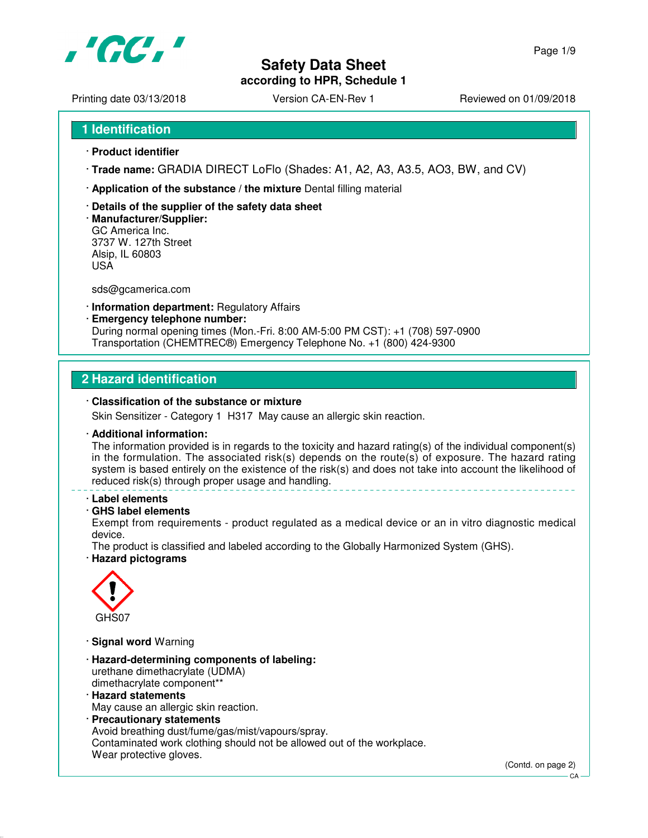

Printing date 03/13/2018 <br>
Version CA-EN-Rev 1 Reviewed on 01/09/2018

- · **Product identifier**
- · **Trade name:** GRADIA DIRECT LoFlo (Shades: A1, A2, A3, A3.5, AO3, BW, and CV)
- · **Application of the substance / the mixture** Dental filling material
- · **Details of the supplier of the safety data sheet**
- · **Manufacturer/Supplier:** GC America Inc. 3737 W. 127th Street Alsip, IL 60803 USA

sds@gcamerica.com

- · **Information department:** Regulatory Affairs
- · **Emergency telephone number:** During normal opening times (Mon.-Fri. 8:00 AM-5:00 PM CST): +1 (708) 597-0900 Transportation (CHEMTREC®) Emergency Telephone No. +1 (800) 424-9300

# **2 Hazard identification**

#### · **Classification of the substance or mixture**

Skin Sensitizer - Category 1 H317 May cause an allergic skin reaction.

#### · **Additional information:**

The information provided is in regards to the toxicity and hazard rating(s) of the individual component(s) in the formulation. The associated risk(s) depends on the route(s) of exposure. The hazard rating system is based entirely on the existence of the risk(s) and does not take into account the likelihood of reduced risk(s) through proper usage and handling.

#### · **Label elements**

### · **GHS label elements**

Exempt from requirements - product regulated as a medical device or an in vitro diagnostic medical device.

The product is classified and labeled according to the Globally Harmonized System (GHS). · **Hazard pictograms**



- · **Signal word** Warning
- · **Hazard-determining components of labeling:** urethane dimethacrylate (UDMA) dimethacrylate component\*\*
- · **Hazard statements** May cause an allergic skin reaction.
- · **Precautionary statements** Avoid breathing dust/fume/gas/mist/vapours/spray. Contaminated work clothing should not be allowed out of the workplace. Wear protective gloves.

(Contd. on page 2)

CA

Page 1/9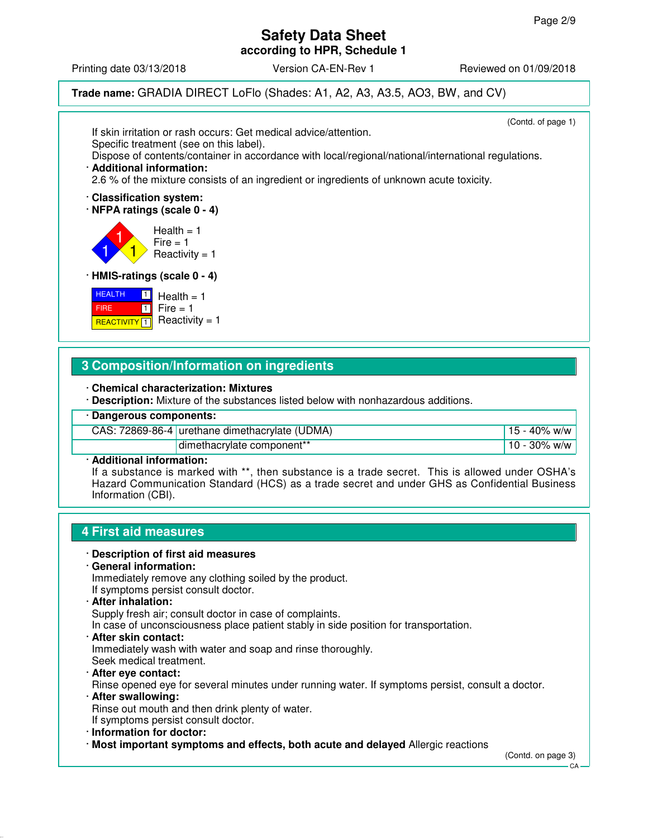Printing date 03/13/2018 **Version CA-EN-Rev 1** Reviewed on 01/09/2018

**Trade name:** GRADIA DIRECT LoFlo (Shades: A1, A2, A3, A3.5, AO3, BW, and CV)

(Contd. of page 1) If skin irritation or rash occurs: Get medical advice/attention. Specific treatment (see on this label). Dispose of contents/container in accordance with local/regional/national/international regulations. · **Additional information:** 2.6 % of the mixture consists of an ingredient or ingredients of unknown acute toxicity. · **Classification system:** · **NFPA ratings (scale 0 - 4)** 1 1 1  $Health = 1$  $Fire = 1$  $Reactivity = 1$ · **HMIS-ratings (scale 0 - 4) HEALTH**  FIRE **REACTIVITY** 1  $\Box$  $\blacksquare$  $Health = 1$  $Fire = 1$ Reactivity  $= 1$ 

# **3 Composition/Information on ingredients**

· **Chemical characterization: Mixtures**

· **Description:** Mixture of the substances listed below with nonhazardous additions.

· **Dangerous components:**

|            | CAS: 72869-86-4 urethane dimethacrylate (UDMA) | 15 - 40% w/w     |
|------------|------------------------------------------------|------------------|
|            | dimethacrylate component**                     | . 10 - 30% w/w ' |
| __ _ _ _ _ |                                                |                  |

· **Additional information:**

If a substance is marked with \*\*, then substance is a trade secret. This is allowed under OSHA's Hazard Communication Standard (HCS) as a trade secret and under GHS as Confidential Business Information (CBI).

# **4 First aid measures**

#### · **Description of first aid measures**

· **General information:**

Immediately remove any clothing soiled by the product. If symptoms persist consult doctor.

· **After inhalation:**

Supply fresh air; consult doctor in case of complaints.

In case of unconsciousness place patient stably in side position for transportation.

· **After skin contact:**

Immediately wash with water and soap and rinse thoroughly. Seek medical treatment.

· **After eye contact:**

Rinse opened eye for several minutes under running water. If symptoms persist, consult a doctor.

- · **After swallowing:** Rinse out mouth and then drink plenty of water. If symptoms persist consult doctor.
- · **Information for doctor:**
- · **Most important symptoms and effects, both acute and delayed** Allergic reactions

(Contd. on page 3)

CA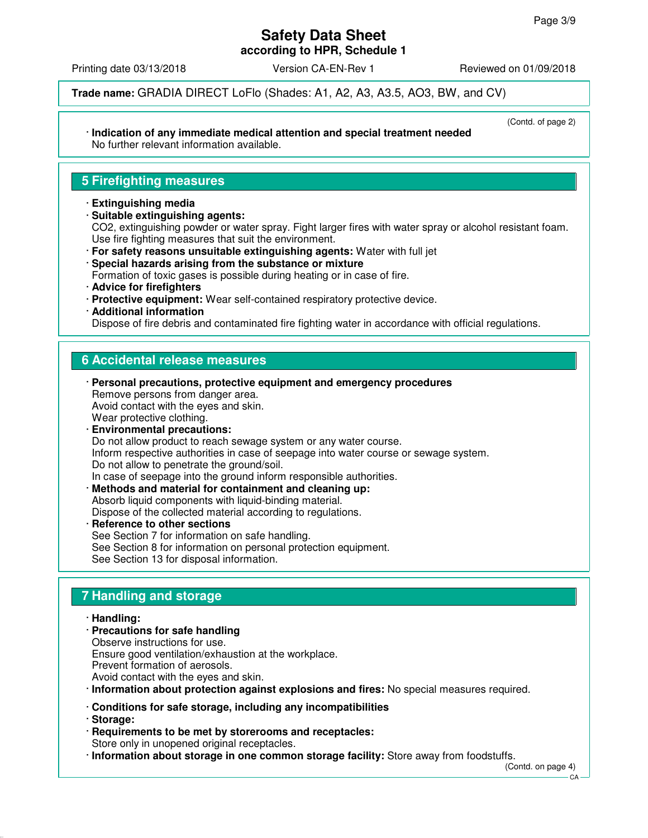# **Safety Data Sheet**

**according to HPR, Schedule 1**

Printing date 03/13/2018 **Version CA-EN-Rev 1** Reviewed on 01/09/2018

(Contd. of page 2)

**Trade name:** GRADIA DIRECT LoFlo (Shades: A1, A2, A3, A3.5, AO3, BW, and CV)

#### · **Indication of any immediate medical attention and special treatment needed** No further relevant information available.

# **5 Firefighting measures**

#### · **Extinguishing media**

- · **Suitable extinguishing agents:** CO2, extinguishing powder or water spray. Fight larger fires with water spray or alcohol resistant foam. Use fire fighting measures that suit the environment.
- · **For safety reasons unsuitable extinguishing agents:** Water with full jet
- · **Special hazards arising from the substance or mixture**
- Formation of toxic gases is possible during heating or in case of fire.
- · **Advice for firefighters**
- · **Protective equipment:** Wear self-contained respiratory protective device.
- · **Additional information**

Dispose of fire debris and contaminated fire fighting water in accordance with official regulations.

# **6 Accidental release measures**

- · **Personal precautions, protective equipment and emergency procedures** Remove persons from danger area. Avoid contact with the eyes and skin. Wear protective clothing. · **Environmental precautions:** Do not allow product to reach sewage system or any water course. Inform respective authorities in case of seepage into water course or sewage system. Do not allow to penetrate the ground/soil. In case of seepage into the ground inform responsible authorities. · **Methods and material for containment and cleaning up:**
- Absorb liquid components with liquid-binding material. Dispose of the collected material according to regulations.
- **Reference to other sections** See Section 7 for information on safe handling. See Section 8 for information on personal protection equipment. See Section 13 for disposal information.

# **7 Handling and storage**

- · **Handling:**
- · **Precautions for safe handling** Observe instructions for use. Ensure good ventilation/exhaustion at the workplace.
- Prevent formation of aerosols.
- Avoid contact with the eyes and skin.
- · **Information about protection against explosions and fires:** No special measures required.
- · **Conditions for safe storage, including any incompatibilities**
- · **Storage:**
- · **Requirements to be met by storerooms and receptacles:** Store only in unopened original receptacles.
- · **Information about storage in one common storage facility:** Store away from foodstuffs.

(Contd. on page 4)

CA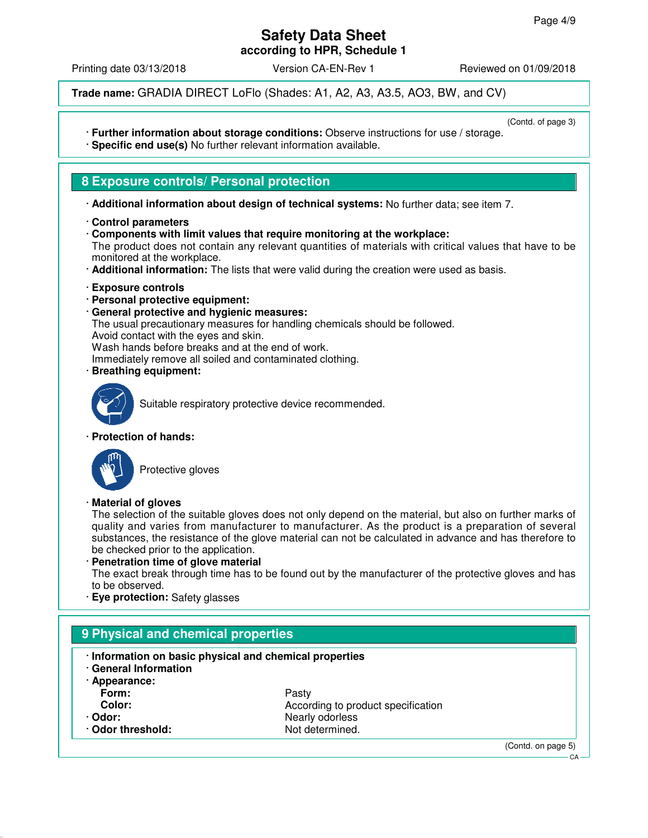# **Safety Data Sheet**

**according to HPR, Schedule 1**

Printing date 03/13/2018 **Version CA-EN-Rev 1** Reviewed on 01/09/2018

**Trade name:** GRADIA DIRECT LoFlo (Shades: A1, A2, A3, A3.5, AO3, BW, and CV)

(Contd. of page 3)

- · **Further information about storage conditions:** Observe instructions for use / storage. · **Specific end use(s)** No further relevant information available.
- 

# **8 Exposure controls/ Personal protection**

- · **Additional information about design of technical systems:** No further data; see item 7.
- · **Control parameters**
- · **Components with limit values that require monitoring at the workplace:**

The product does not contain any relevant quantities of materials with critical values that have to be monitored at the workplace.

- · **Additional information:** The lists that were valid during the creation were used as basis.
- · **Exposure controls**
- · **Personal protective equipment:**
- · **General protective and hygienic measures:**

The usual precautionary measures for handling chemicals should be followed.

Avoid contact with the eyes and skin.

Wash hands before breaks and at the end of work.

Immediately remove all soiled and contaminated clothing.

· **Breathing equipment:**



Suitable respiratory protective device recommended.

· **Protection of hands:**



Protective gloves

### · **Material of gloves**

The selection of the suitable gloves does not only depend on the material, but also on further marks of quality and varies from manufacturer to manufacturer. As the product is a preparation of several substances, the resistance of the glove material can not be calculated in advance and has therefore to be checked prior to the application.

#### · **Penetration time of glove material** The exact break through time has to be found out by the manufacturer of the protective gloves and has to be observed.

· **Eye protection:** Safety glasses

| · Information on basic physical and chemical properties<br>· General Information |                                    |  |  |
|----------------------------------------------------------------------------------|------------------------------------|--|--|
| · Appearance:                                                                    |                                    |  |  |
| Form:                                                                            | Pasty                              |  |  |
| Color:                                                                           | According to product specification |  |  |
| · Odor:                                                                          | Nearly odorless                    |  |  |
| · Odor threshold:                                                                | Not determined.                    |  |  |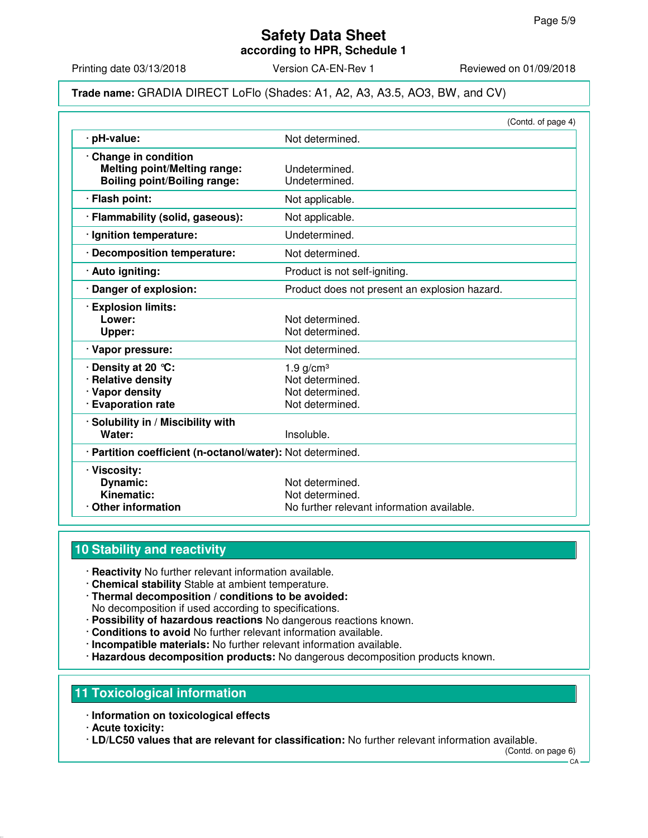Printing date 03/13/2018 <br>
Version CA-EN-Rev 1 Reviewed on 01/09/2018

### **Trade name:** GRADIA DIRECT LoFlo (Shades: A1, A2, A3, A3.5, AO3, BW, and CV)

| Not determined.<br>· pH-value:<br>Change in condition<br><b>Melting point/Melting range:</b><br>Undetermined.<br><b>Boiling point/Boiling range:</b><br>Undetermined.<br>· Flash point:<br>Not applicable.<br>· Flammability (solid, gaseous):<br>Not applicable.<br>Undetermined.<br>· Ignition temperature:<br>· Decomposition temperature:<br>Not determined.<br>· Auto igniting:<br>Product is not self-igniting.<br>· Danger of explosion:<br>Product does not present an explosion hazard.<br><b>Explosion limits:</b><br>Lower:<br>Not determined.<br>Not determined.<br>Upper:<br>· Vapor pressure:<br>Not determined.<br>· Density at 20 ℃:<br>$1.9$ g/cm <sup>3</sup><br><b>Relative density</b><br>Not determined.<br>· Vapor density<br>Not determined.<br>· Evaporation rate<br>Not determined.<br>· Solubility in / Miscibility with<br>Water:<br>Insoluble. | (Contd. of page 4) |
|----------------------------------------------------------------------------------------------------------------------------------------------------------------------------------------------------------------------------------------------------------------------------------------------------------------------------------------------------------------------------------------------------------------------------------------------------------------------------------------------------------------------------------------------------------------------------------------------------------------------------------------------------------------------------------------------------------------------------------------------------------------------------------------------------------------------------------------------------------------------------|--------------------|
|                                                                                                                                                                                                                                                                                                                                                                                                                                                                                                                                                                                                                                                                                                                                                                                                                                                                            |                    |
|                                                                                                                                                                                                                                                                                                                                                                                                                                                                                                                                                                                                                                                                                                                                                                                                                                                                            |                    |
|                                                                                                                                                                                                                                                                                                                                                                                                                                                                                                                                                                                                                                                                                                                                                                                                                                                                            |                    |
|                                                                                                                                                                                                                                                                                                                                                                                                                                                                                                                                                                                                                                                                                                                                                                                                                                                                            |                    |
|                                                                                                                                                                                                                                                                                                                                                                                                                                                                                                                                                                                                                                                                                                                                                                                                                                                                            |                    |
|                                                                                                                                                                                                                                                                                                                                                                                                                                                                                                                                                                                                                                                                                                                                                                                                                                                                            |                    |
|                                                                                                                                                                                                                                                                                                                                                                                                                                                                                                                                                                                                                                                                                                                                                                                                                                                                            |                    |
|                                                                                                                                                                                                                                                                                                                                                                                                                                                                                                                                                                                                                                                                                                                                                                                                                                                                            |                    |
|                                                                                                                                                                                                                                                                                                                                                                                                                                                                                                                                                                                                                                                                                                                                                                                                                                                                            |                    |
|                                                                                                                                                                                                                                                                                                                                                                                                                                                                                                                                                                                                                                                                                                                                                                                                                                                                            |                    |
|                                                                                                                                                                                                                                                                                                                                                                                                                                                                                                                                                                                                                                                                                                                                                                                                                                                                            |                    |
|                                                                                                                                                                                                                                                                                                                                                                                                                                                                                                                                                                                                                                                                                                                                                                                                                                                                            |                    |
| · Partition coefficient (n-octanol/water): Not determined.                                                                                                                                                                                                                                                                                                                                                                                                                                                                                                                                                                                                                                                                                                                                                                                                                 |                    |
| · Viscosity:<br><b>Dynamic:</b><br>Not determined.<br>Kinematic:<br>Not determined.<br>Other information<br>No further relevant information available.                                                                                                                                                                                                                                                                                                                                                                                                                                                                                                                                                                                                                                                                                                                     |                    |

# **10 Stability and reactivity**

· **Reactivity** No further relevant information available.

- · **Chemical stability** Stable at ambient temperature.
- · **Thermal decomposition / conditions to be avoided:** No decomposition if used according to specifications.
- · **Possibility of hazardous reactions** No dangerous reactions known.
- · **Conditions to avoid** No further relevant information available.
- · **Incompatible materials:** No further relevant information available.
- · **Hazardous decomposition products:** No dangerous decomposition products known.

# **11 Toxicological information**

- · **Information on toxicological effects**
- · **Acute toxicity:**

· **LD/LC50 values that are relevant for classification:** No further relevant information available.

(Contd. on page 6)

 $CA -$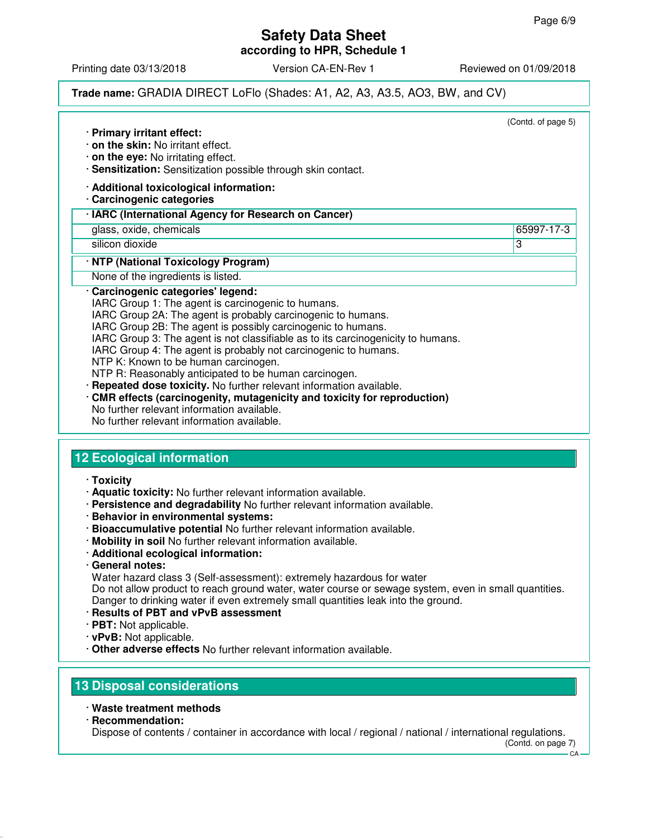Printing date 03/13/2018 **Version CA-EN-Rev 1** Reviewed on 01/09/2018

# **Trade name:** GRADIA DIRECT LoFlo (Shades: A1, A2, A3, A3.5, AO3, BW, and CV)

|                                                                                                                              | (Contd. of page 5) |
|------------------------------------------------------------------------------------------------------------------------------|--------------------|
| · Primary irritant effect:<br>on the skin: No irritant effect.                                                               |                    |
| $\cdot$ on the eye: No irritating effect.                                                                                    |                    |
| · Sensitization: Sensitization possible through skin contact.                                                                |                    |
| · Additional toxicological information:<br>Carcinogenic categories                                                           |                    |
| · IARC (International Agency for Research on Cancer)                                                                         |                    |
| glass, oxide, chemicals                                                                                                      | 65997-17-3         |
| silicon dioxide                                                                                                              | 3                  |
| · NTP (National Toxicology Program)                                                                                          |                    |
| None of the ingredients is listed.                                                                                           |                    |
| Carcinogenic categories' legend:                                                                                             |                    |
| IARC Group 1: The agent is carcinogenic to humans.                                                                           |                    |
| IARC Group 2A: The agent is probably carcinogenic to humans.<br>IARC Group 2B: The agent is possibly carcinogenic to humans. |                    |
| IARC Group 3: The agent is not classifiable as to its carcinogenicity to humans.                                             |                    |
| IARC Group 4: The agent is probably not carcinogenic to humans.                                                              |                    |
| NTP K: Known to be human carcinogen.                                                                                         |                    |
| NTP R: Reasonably anticipated to be human carcinogen.                                                                        |                    |
| Repeated dose toxicity. No further relevant information available.                                                           |                    |
| CMR effects (carcinogenity, mutagenicity and toxicity for reproduction)                                                      |                    |
| No further relevant information available.                                                                                   |                    |
| No further relevant information available.                                                                                   |                    |

### · **Toxicity**

- · **Aquatic toxicity:** No further relevant information available.
- · **Persistence and degradability** No further relevant information available.
- · **Behavior in environmental systems:**
- · **Bioaccumulative potential** No further relevant information available.
- · **Mobility in soil** No further relevant information available.
- · **Additional ecological information:**
- · **General notes:**
- Water hazard class 3 (Self-assessment): extremely hazardous for water

Do not allow product to reach ground water, water course or sewage system, even in small quantities. Danger to drinking water if even extremely small quantities leak into the ground.

- · **Results of PBT and vPvB assessment**
- · **PBT:** Not applicable.
- · **vPvB:** Not applicable.
- · **Other adverse effects** No further relevant information available.

# **13 Disposal considerations**

- · **Waste treatment methods**
- · **Recommendation:**

Dispose of contents / container in accordance with local / regional / national / international regulations. (Contd. on page 7)

 $C.A$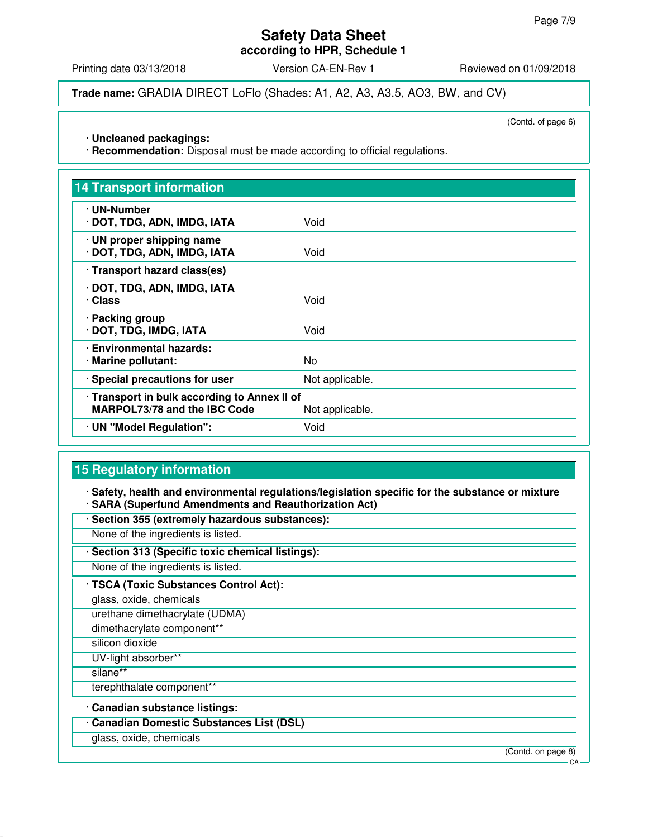# **Safety Data Sheet**

**according to HPR, Schedule 1**

Printing date 03/13/2018 **Version CA-EN-Rev 1** Reviewed on 01/09/2018

**Trade name:** GRADIA DIRECT LoFlo (Shades: A1, A2, A3, A3.5, AO3, BW, and CV)

(Contd. of page 6)

#### · **Uncleaned packagings:**

· **Recommendation:** Disposal must be made according to official regulations.

| <b>14 Transport information</b>                                                     |                 |
|-------------------------------------------------------------------------------------|-----------------|
| · UN-Number<br>· DOT, TDG, ADN, IMDG, IATA                                          | Void            |
| · UN proper shipping name<br>· DOT, TDG, ADN, IMDG, IATA                            | Void            |
| · Transport hazard class(es)                                                        |                 |
| · DOT, TDG, ADN, IMDG, IATA<br>· Class                                              | Void            |
| · Packing group<br>DOT, TDG, IMDG, IATA                                             | Void            |
| · Environmental hazards:<br>· Marine pollutant:                                     | No              |
| · Special precautions for user                                                      | Not applicable. |
| · Transport in bulk according to Annex II of<br><b>MARPOL73/78 and the IBC Code</b> | Not applicable. |
| · UN "Model Regulation":                                                            | Void            |

# **15 Regulatory information**

· **Safety, health and environmental regulations/legislation specific for the substance or mixture** · **SARA (Superfund Amendments and Reauthorization Act)**

· **Section 355 (extremely hazardous substances):**

None of the ingredients is listed.

· **Section 313 (Specific toxic chemical listings):**

None of the ingredients is listed.

· **TSCA (Toxic Substances Control Act):**

glass, oxide, chemicals

urethane dimethacrylate (UDMA)

dimethacrylate component\*\*

silicon dioxide

UV-light absorber\*\*

silane\*\*

terephthalate component\*

· **Canadian substance listings:**

· **Canadian Domestic Substances List (DSL)**

glass, oxide, chemicals

(Contd. on page 8)

 $\sim$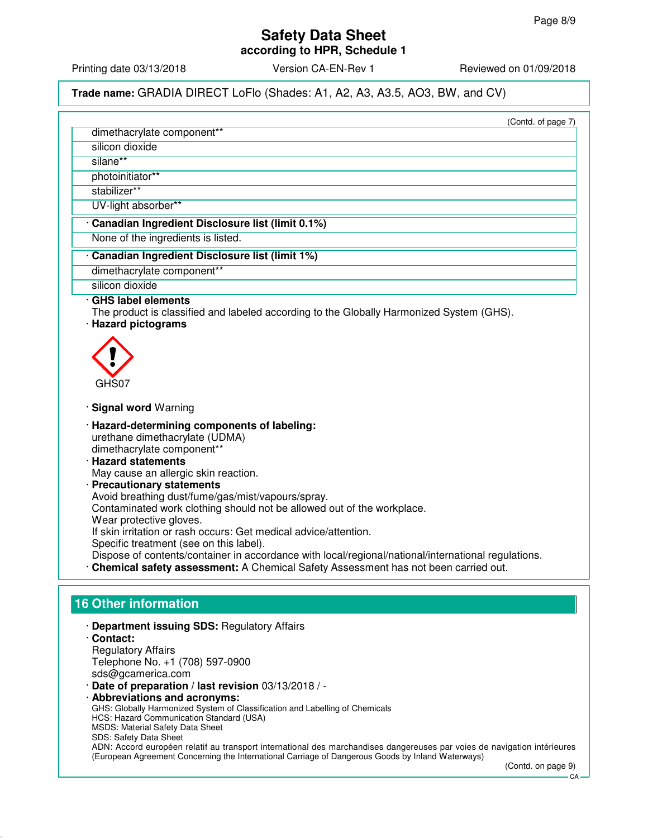silicon dioxide silane\*\*

photoinitiator\*\*

dimethacrylate component\*\*

Printing date 03/13/2018 Version CA-EN-Rev 1 Reviewed on 01/09/2018

**Trade name:** GRADIA DIRECT LoFlo (Shades: A1, A2, A3, A3.5, AO3, BW, and CV)

(Contd. of page 7)